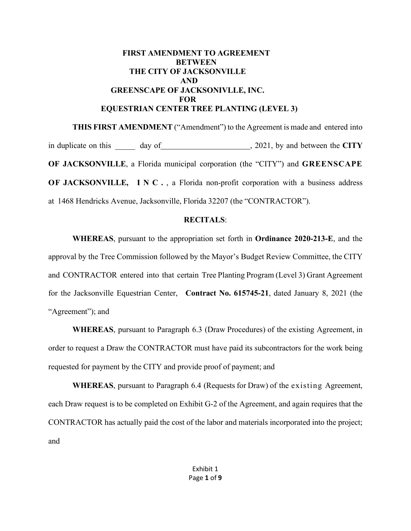# **FIRST AMENDMENT TO AGREEMENT BETWEEN THE CITY OF JACKSONVILLE AND GREENSCAPE OF JACKSONIVLLE, INC. FOR EQUESTRIAN CENTER TREE PLANTING (LEVEL 3)**

**THIS FIRST AMENDMENT** ("Amendment") to the Agreement is made and entered into in duplicate on this day of  $\frac{1}{2021}$ , by and between the **CITY OF JACKSONVILLE**, a Florida municipal corporation (the "CITY") and **GREENSCAPE OF JACKSONVILLE, INC.**, a Florida non-profit corporation with a business address at 1468 Hendricks Avenue, Jacksonville, Florida 32207 (the "CONTRACTOR").

# **RECITALS**:

**WHEREAS**, pursuant to the appropriation set forth in **Ordinance 2020-213-E**, and the approval by the Tree Commission followed by the Mayor's Budget Review Committee, the CITY and CONTRACTOR entered into that certain Tree Planting Program (Level 3) Grant Agreement for the Jacksonville Equestrian Center, **Contract No. 615745-21**, dated January 8, 2021 (the "Agreement"); and

**WHEREAS**, pursuant to Paragraph 6.3 (Draw Procedures) of the existing Agreement, in order to request a Draw the CONTRACTOR must have paid its subcontractors for the work being requested for payment by the CITY and provide proof of payment; and

**WHEREAS**, pursuant to Paragraph 6.4 (Requests for Draw) of the existing Agreement, each Draw request is to be completed on Exhibit G-2 of the Agreement, and again requires that the CONTRACTOR has actually paid the cost of the labor and materials incorporated into the project; and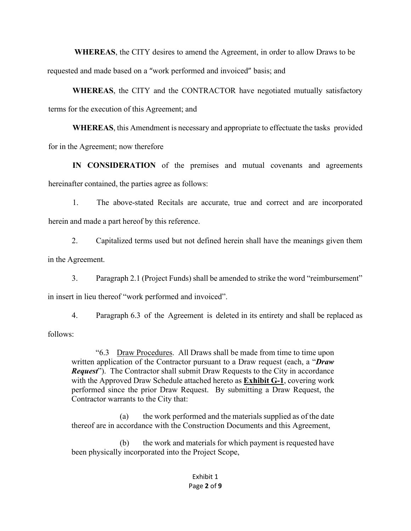**WHEREAS**, the CITY desires to amend the Agreement, in order to allow Draws to be requested and made based on a "work performed and invoiced" basis; and

**WHEREAS**, the CITY and the CONTRACTOR have negotiated mutually satisfactory terms for the execution of this Agreement; and

**WHEREAS**, this Amendment is necessary and appropriate to effectuate the tasks provided for in the Agreement; now therefore

**IN CONSIDERATION** of the premises and mutual covenants and agreements hereinafter contained, the parties agree as follows:

1. The above-stated Recitals are accurate, true and correct and are incorporated herein and made a part hereof by this reference.

2. Capitalized terms used but not defined herein shall have the meanings given them in the Agreement.

3. Paragraph 2.1 (Project Funds) shall be amended to strike the word "reimbursement" in insert in lieu thereof "work performed and invoiced".

4. Paragraph 6.3 of the Agreement is deleted in its entirety and shall be replaced as follows:

"6.3 Draw Procedures. All Draws shall be made from time to time upon written application of the Contractor pursuant to a Draw request (each, a "*Draw Request*"). The Contractor shall submit Draw Requests to the City in accordance with the Approved Draw Schedule attached hereto as **Exhibit G-1**, covering work performed since the prior Draw Request. By submitting a Draw Request, the Contractor warrants to the City that:

(a) the work performed and the materials supplied as of the date thereof are in accordance with the Construction Documents and this Agreement,

(b) the work and materials for which payment is requested have been physically incorporated into the Project Scope,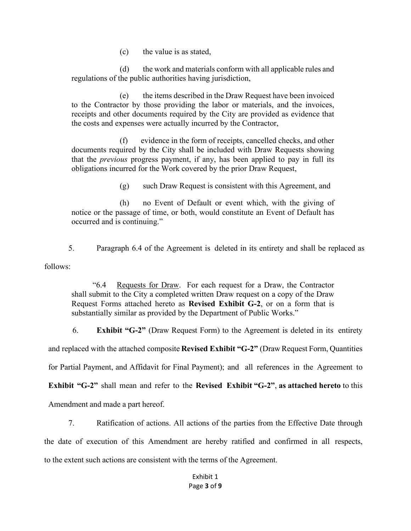(c) the value is as stated,

(d) the work and materials conform with all applicable rules and regulations of the public authorities having jurisdiction,

(e) the items described in the Draw Request have been invoiced to the Contractor by those providing the labor or materials, and the invoices, receipts and other documents required by the City are provided as evidence that the costs and expenses were actually incurred by the Contractor,

(f) evidence in the form of receipts, cancelled checks, and other documents required by the City shall be included with Draw Requests showing that the *previous* progress payment, if any, has been applied to pay in full its obligations incurred for the Work covered by the prior Draw Request,

(g) such Draw Request is consistent with this Agreement, and

(h) no Event of Default or event which, with the giving of notice or the passage of time, or both, would constitute an Event of Default has occurred and is continuing."

5. Paragraph 6.4 of the Agreement is deleted in its entirety and shall be replaced as follows:

"6.4 Requests for Draw. For each request for a Draw, the Contractor shall submit to the City a completed written Draw request on a copy of the Draw Request Forms attached hereto as **Revised Exhibit G-2**, or on a form that is substantially similar as provided by the Department of Public Works."

6. **Exhibit "G-2"** (Draw Request Form) to the Agreement is deleted in its entirety

and replaced with the attached composite **Revised Exhibit "G-2"** (Draw Request Form, Quantities

for Partial Payment, and Affidavit for Final Payment); and all references in the Agreement to

**Exhibit "G-2"** shall mean and refer to the **Revised Exhibit "G-2"**, **as attached hereto** to this

Amendment and made a part hereof.

7. Ratification of actions. All actions of the parties from the Effective Date through the date of execution of this Amendment are hereby ratified and confirmed in all respects, to the extent such actions are consistent with the terms of the Agreement.

## Exhibit 1 Page **3** of **9**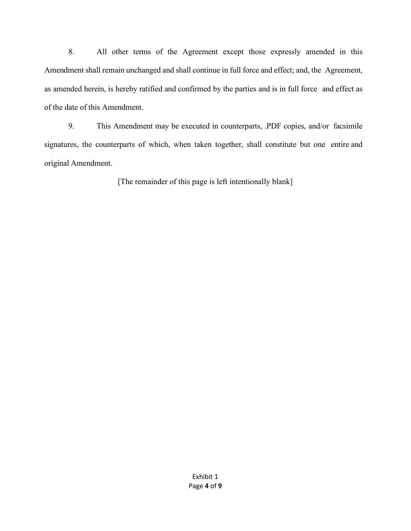8. All other terms of the Agreement except those expressly amended in this Amendment shall remain unchanged and shall continue in full force and effect; and, the Agreement, as amended herein, is hereby ratified and confirmed by the parties and is in full force and effect as of the date of this Amendment.

9. This Amendment may be executed in counterparts, .PDF copies, and/or facsimile signatures, the counterparts of which, when taken together, shall constitute but one entire and original Amendment.

[The remainder of this page is left intentionally blank]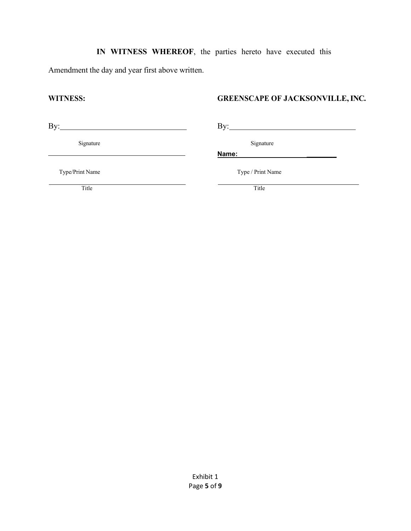# **IN WITNESS WHEREOF**, the parties hereto have executed this

Amendment the day and year first above written.

# **WITNESS: GREENSCAPE OF JACKSONVILLE, INC.**

By: By:

Signature Signature Signature Signature Signature Signature Signature Signature Signature Signature Signature Signature Signature Signature Signature Signature Signature Signature Signature Signature Signature Signature Si

Type/Print Name Type / Print Name

**Name: \_\_\_\_\_\_\_\_**

Title Title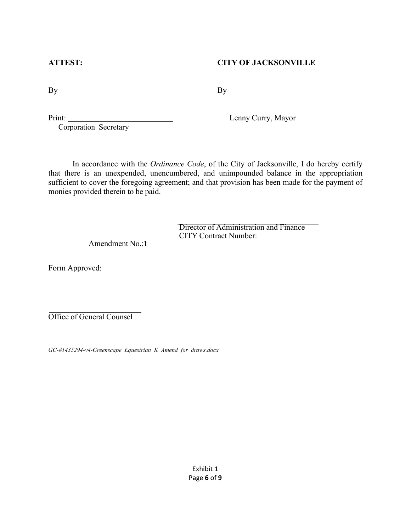# **ATTEST: CITY OF JACKSONVILLE**

By By

Print:

Corporation Secretary

Lenny Curry, Mayor

In accordance with the *Ordinance Code*, of the City of Jacksonville, I do hereby certify that there is an unexpended, unencumbered, and unimpounded balance in the appropriation sufficient to cover the foregoing agreement; and that provision has been made for the payment of monies provided therein to be paid.

> Director of Administration and Finance CITY Contract Number:

Amendment No.:**1**

Form Approved:

Office of General Counsel

*GC-#1435294-v4-Greenscape\_Equestrian\_K\_Amend\_for\_draws.docx*

Exhibit 1 Page **6** of **9**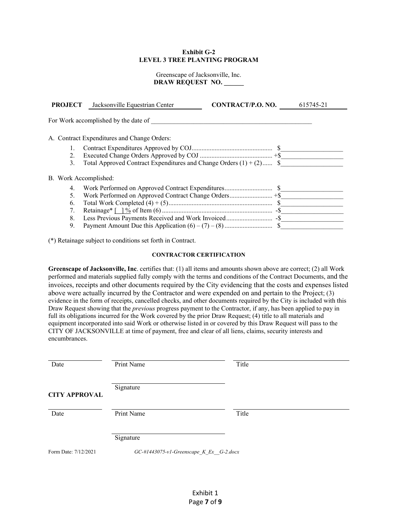## **Exhibit G-2 LEVEL 3 TREE PLANTING PROGRAM**

Greenscape of Jacksonville, Inc. **DRAW REQUEST NO.** 

| <b>PROJECT</b>        | Jacksonville Equestrian Center                                        | CONTRACT/P.O. NO. | 615745-21 |
|-----------------------|-----------------------------------------------------------------------|-------------------|-----------|
|                       | For Work accomplished by the date of                                  |                   |           |
|                       | A. Contract Expenditures and Change Orders:                           |                   |           |
|                       |                                                                       |                   |           |
| 2.                    |                                                                       |                   |           |
| 3.                    | Total Approved Contract Expenditures and Change Orders $(1) + (2)$ \$ |                   |           |
| B. Work Accomplished: |                                                                       |                   |           |
| 4.                    |                                                                       |                   |           |
| 5.                    |                                                                       |                   |           |
| 6.                    |                                                                       |                   |           |
| 7.                    |                                                                       |                   |           |
| 8.                    |                                                                       |                   |           |
| 9.                    |                                                                       |                   |           |

(\*) Retainage subject to conditions set forth in Contract.

## **CONTRACTOR CERTIFICATION**

**Greenscape of Jacksonville, Inc**. certifies that: (1) all items and amounts shown above are correct; (2) all Work performed and materials supplied fully comply with the terms and conditions of the Contract Documents, and the invoices, receipts and other documents required by the City evidencing that the costs and expenses listed above were actually incurred by the Contractor and were expended on and pertain to the Project; (3) evidence in the form of receipts, cancelled checks, and other documents required by the City is included with this Draw Request showing that the *previous* progress payment to the Contractor, if any, has been applied to pay in full its obligations incurred for the Work covered by the prior Draw Request; (4) title to all materials and equipment incorporated into said Work or otherwise listed in or covered by this Draw Request will pass to the CITY OF JACKSONVILLE at time of payment, free and clear of all liens, claims, security interests and encumbrances.

| Date                 | Print Name                                | Title |  |
|----------------------|-------------------------------------------|-------|--|
| <b>CITY APPROVAL</b> | Signature                                 |       |  |
| Date                 | Print Name                                | Title |  |
|                      | Signature                                 |       |  |
| Form Date: 7/12/2021 | GC-#1443075-v1-Greenscape $K$ Ex G-2.docx |       |  |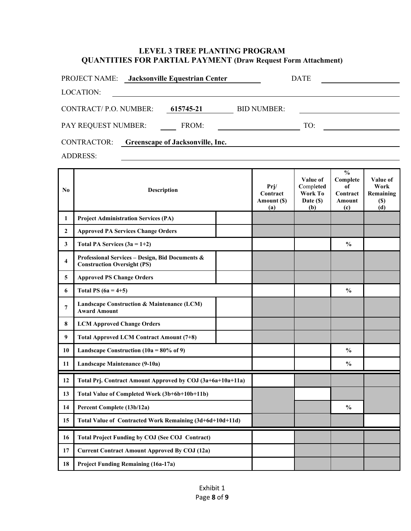# **LEVEL 3 TREE PLANTING PROGRAM QUANTITIES FOR PARTIAL PAYMENT (Draw Request Form Attachment)**

| <b>PROJECT NAME:</b>  |  | Jacksonville Equestrian Center          |                    | DATE |  |
|-----------------------|--|-----------------------------------------|--------------------|------|--|
| LOCATION:             |  |                                         |                    |      |  |
| CONTRACT/P.O. NUMBER: |  | 615745-21                               | <b>BID NUMBER:</b> |      |  |
| PAY REQUEST NUMBER:   |  | FROM:                                   |                    | TO:  |  |
| CONTRACTOR:           |  | <b>Greenscape of Jacksonville, Inc.</b> |                    |      |  |

ADDRESS:

| N <sub>0</sub>   | <b>Description</b>                                                                    |  | Prj/<br>Contract<br>Amount (\$)<br>(a) | Value of<br>Completed<br>Work To<br>Date (\$)<br>(b) | $\frac{0}{0}$<br>Complete<br>of<br>Contract<br><b>Amount</b><br>(c) | Value of<br>Work<br>Remaining<br><b>(\$)</b><br>(d) |
|------------------|---------------------------------------------------------------------------------------|--|----------------------------------------|------------------------------------------------------|---------------------------------------------------------------------|-----------------------------------------------------|
| 1                | <b>Project Administration Services (PA)</b>                                           |  |                                        |                                                      |                                                                     |                                                     |
| $\mathbf{2}$     | <b>Approved PA Services Change Orders</b>                                             |  |                                        |                                                      |                                                                     |                                                     |
| 3                | Total PA Services $(3a = 1+2)$                                                        |  |                                        |                                                      | $\frac{0}{0}$                                                       |                                                     |
| 4                | Professional Services - Design, Bid Documents &<br><b>Construction Oversight (PS)</b> |  |                                        |                                                      |                                                                     |                                                     |
| 5                | <b>Approved PS Change Orders</b>                                                      |  |                                        |                                                      |                                                                     |                                                     |
| 6                | Total PS $(6a = 4+5)$                                                                 |  |                                        |                                                      | $\frac{0}{0}$                                                       |                                                     |
| 7                | Landscape Construction & Maintenance (LCM)<br><b>Award Amount</b>                     |  |                                        |                                                      |                                                                     |                                                     |
| 8                | <b>LCM Approved Change Orders</b>                                                     |  |                                        |                                                      |                                                                     |                                                     |
| $\boldsymbol{9}$ | Total Approved LCM Contract Amount (7+8)                                              |  |                                        |                                                      |                                                                     |                                                     |
| 10               | Landscape Construction (10a = $80\%$ of 9)                                            |  |                                        |                                                      | $\frac{0}{0}$                                                       |                                                     |
| 11               | Landscape Maintenance (9-10a)                                                         |  |                                        |                                                      | $\frac{0}{0}$                                                       |                                                     |
| 12               | Total Prj. Contract Amount Approved by COJ (3a+6a+10a+11a)                            |  |                                        |                                                      |                                                                     |                                                     |
| 13               | Total Value of Completed Work (3b+6b+10b+11b)                                         |  |                                        |                                                      |                                                                     |                                                     |
| 14               | Percent Complete (13b/12a)                                                            |  |                                        |                                                      | $\frac{0}{0}$                                                       |                                                     |
| 15               | Total Value of Contracted Work Remaining (3d+6d+10d+11d)                              |  |                                        |                                                      |                                                                     |                                                     |
| 16               | <b>Total Project Funding by COJ (See COJ Contract)</b>                                |  |                                        |                                                      |                                                                     |                                                     |
| 17               | <b>Current Contract Amount Approved By COJ (12a)</b>                                  |  |                                        |                                                      |                                                                     |                                                     |
| 18               | <b>Project Funding Remaining (16a-17a)</b>                                            |  |                                        |                                                      |                                                                     |                                                     |